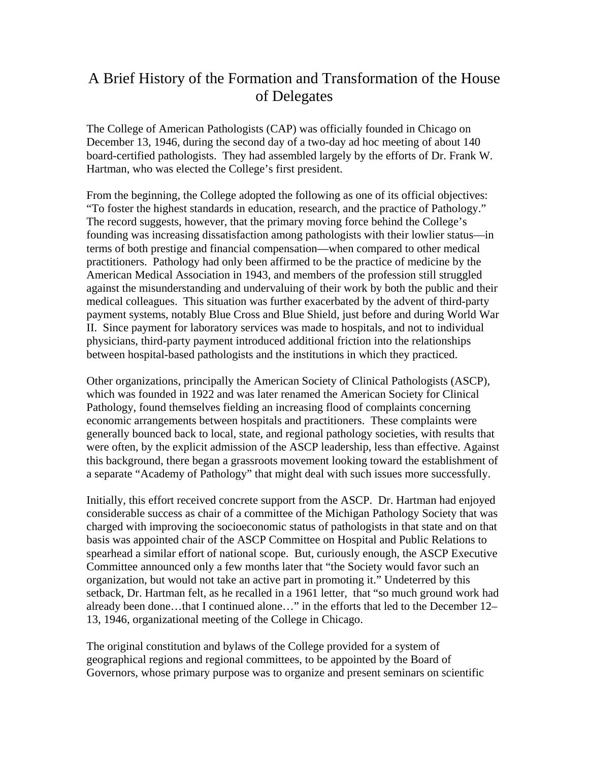## A Brief History of the Formation and Transformation of the House of Delegates

 The College of American Pathologists (CAP) was officially founded in Chicago on December 13, 1946, during the second day of a two-day ad hoc meeting of about 140 board-certified pathologists. They had assembled largely by the efforts of Dr. Frank W. Hartman, who was elected the College's first president.

From the beginning, the College adopted the following as one of its official objectives: "To foster the highest standards in education, research, and the practice of Pathology." The record suggests, however, that the primary moving force behind the College's founding was increasing dissatisfaction among pathologists with their lowlier status—in terms of both prestige and financial compensation—when compared to other medical practitioners. Pathology had only been affirmed to be the practice of medicine by the American Medical Association in 1943, and members of the profession still struggled against the misunderstanding and undervaluing of their work by both the public and their medical colleagues. This situation was further exacerbated by the advent of third-party payment systems, notably Blue Cross and Blue Shield, just before and during World War II. Since payment for laboratory services was made to hospitals, and not to individual physicians, third-party payment introduced additional friction into the relationships between hospital-based pathologists and the institutions in which they practiced.

Other organizations, principally the American Society of Clinical Pathologists (ASCP), which was founded in 1922 and was later renamed the American Society for Clinical Pathology, found themselves fielding an increasing flood of complaints concerning economic arrangements between hospitals and practitioners. These complaints were generally bounced back to local, state, and regional pathology societies, with results that were often, by the explicit admission of the ASCP leadership, less than effective. Against this background, there began a grassroots movement looking toward the establishment of a separate "Academy of Pathology" that might deal with such issues more successfully.

Initially, this effort received concrete support from the ASCP. Dr. Hartman had enjoyed considerable success as chair of a committee of the Michigan Pathology Society that was charged with improving the socioeconomic status of pathologists in that state and on that basis was appointed chair of the ASCP Committee on Hospital and Public Relations to spearhead a similar effort of national scope. But, curiously enough, the ASCP Executive Committee announced only a few months later that "the Society would favor such an organization, but would not take an active part in promoting it." Undeterred by this setback, Dr. Hartman felt, as he recalled in a 1961 letter, that "so much ground work had already been done…that I continued alone…" in the efforts that led to the December 12– 13, 1946, organizational meeting of the College in Chicago.

The original constitution and bylaws of the College provided for a system of geographical regions and regional committees, to be appointed by the Board of Governors, whose primary purpose was to organize and present seminars on scientific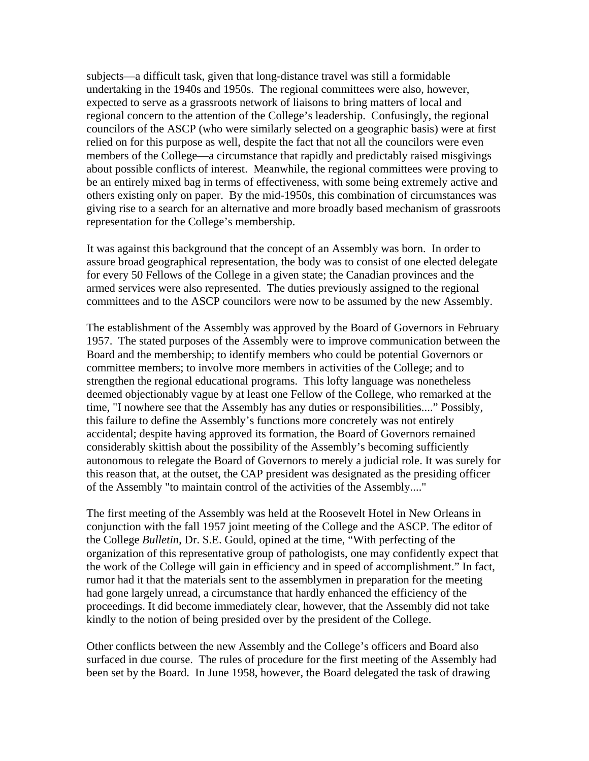subjects—a difficult task, given that long-distance travel was still a formidable undertaking in the 1940s and 1950s. The regional committees were also, however, expected to serve as a grassroots network of liaisons to bring matters of local and regional concern to the attention of the College's leadership. Confusingly, the regional councilors of the ASCP (who were similarly selected on a geographic basis) were at first relied on for this purpose as well, despite the fact that not all the councilors were even members of the College—a circumstance that rapidly and predictably raised misgivings about possible conflicts of interest. Meanwhile, the regional committees were proving to be an entirely mixed bag in terms of effectiveness, with some being extremely active and others existing only on paper. By the mid-1950s, this combination of circumstances was giving rise to a search for an alternative and more broadly based mechanism of grassroots representation for the College's membership.

It was against this background that the concept of an Assembly was born. In order to assure broad geographical representation, the body was to consist of one elected delegate for every 50 Fellows of the College in a given state; the Canadian provinces and the armed services were also represented. The duties previously assigned to the regional committees and to the ASCP councilors were now to be assumed by the new Assembly.

The establishment of the Assembly was approved by the Board of Governors in February 1957. The stated purposes of the Assembly were to improve communication between the Board and the membership; to identify members who could be potential Governors or committee members; to involve more members in activities of the College; and to strengthen the regional educational programs. This lofty language was nonetheless deemed objectionably vague by at least one Fellow of the College, who remarked at the time, "I nowhere see that the Assembly has any duties or responsibilities...." Possibly, this failure to define the Assembly's functions more concretely was not entirely accidental; despite having approved its formation, the Board of Governors remained considerably skittish about the possibility of the Assembly's becoming sufficiently autonomous to relegate the Board of Governors to merely a judicial role. It was surely for this reason that, at the outset, the CAP president was designated as the presiding officer of the Assembly "to maintain control of the activities of the Assembly...."

The first meeting of the Assembly was held at the Roosevelt Hotel in New Orleans in conjunction with the fall 1957 joint meeting of the College and the ASCP. The editor of the College *Bulletin*, Dr. S.E. Gould, opined at the time, "With perfecting of the organization of this representative group of pathologists, one may confidently expect that the work of the College will gain in efficiency and in speed of accomplishment." In fact, rumor had it that the materials sent to the assemblymen in preparation for the meeting had gone largely unread, a circumstance that hardly enhanced the efficiency of the proceedings. It did become immediately clear, however, that the Assembly did not take kindly to the notion of being presided over by the president of the College.

Other conflicts between the new Assembly and the College's officers and Board also surfaced in due course. The rules of procedure for the first meeting of the Assembly had been set by the Board. In June 1958, however, the Board delegated the task of drawing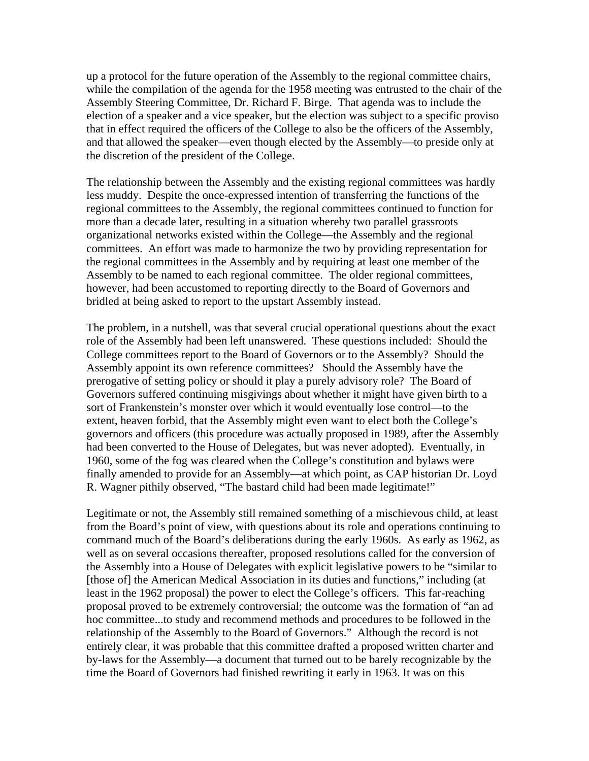up a protocol for the future operation of the Assembly to the regional committee chairs, while the compilation of the agenda for the 1958 meeting was entrusted to the chair of the Assembly Steering Committee, Dr. Richard F. Birge. That agenda was to include the election of a speaker and a vice speaker, but the election was subject to a specific proviso that in effect required the officers of the College to also be the officers of the Assembly, and that allowed the speaker—even though elected by the Assembly—to preside only at the discretion of the president of the College.

The relationship between the Assembly and the existing regional committees was hardly less muddy. Despite the once-expressed intention of transferring the functions of the regional committees to the Assembly, the regional committees continued to function for more than a decade later, resulting in a situation whereby two parallel grassroots organizational networks existed within the College—the Assembly and the regional committees. An effort was made to harmonize the two by providing representation for the regional committees in the Assembly and by requiring at least one member of the Assembly to be named to each regional committee. The older regional committees, however, had been accustomed to reporting directly to the Board of Governors and bridled at being asked to report to the upstart Assembly instead.

The problem, in a nutshell, was that several crucial operational questions about the exact role of the Assembly had been left unanswered. These questions included: Should the College committees report to the Board of Governors or to the Assembly? Should the Assembly appoint its own reference committees? Should the Assembly have the prerogative of setting policy or should it play a purely advisory role? The Board of Governors suffered continuing misgivings about whether it might have given birth to a sort of Frankenstein's monster over which it would eventually lose control—to the extent, heaven forbid, that the Assembly might even want to elect both the College's governors and officers (this procedure was actually proposed in 1989, after the Assembly had been converted to the House of Delegates, but was never adopted). Eventually, in 1960, some of the fog was cleared when the College's constitution and bylaws were finally amended to provide for an Assembly—at which point, as CAP historian Dr. Loyd R. Wagner pithily observed, "The bastard child had been made legitimate!"

Legitimate or not, the Assembly still remained something of a mischievous child, at least from the Board's point of view, with questions about its role and operations continuing to command much of the Board's deliberations during the early 1960s. As early as 1962, as well as on several occasions thereafter, proposed resolutions called for the conversion of the Assembly into a House of Delegates with explicit legislative powers to be "similar to [those of] the American Medical Association in its duties and functions," including (at least in the 1962 proposal) the power to elect the College's officers. This far-reaching proposal proved to be extremely controversial; the outcome was the formation of "an ad hoc committee...to study and recommend methods and procedures to be followed in the relationship of the Assembly to the Board of Governors." Although the record is not entirely clear, it was probable that this committee drafted a proposed written charter and by-laws for the Assembly—a document that turned out to be barely recognizable by the time the Board of Governors had finished rewriting it early in 1963. It was on this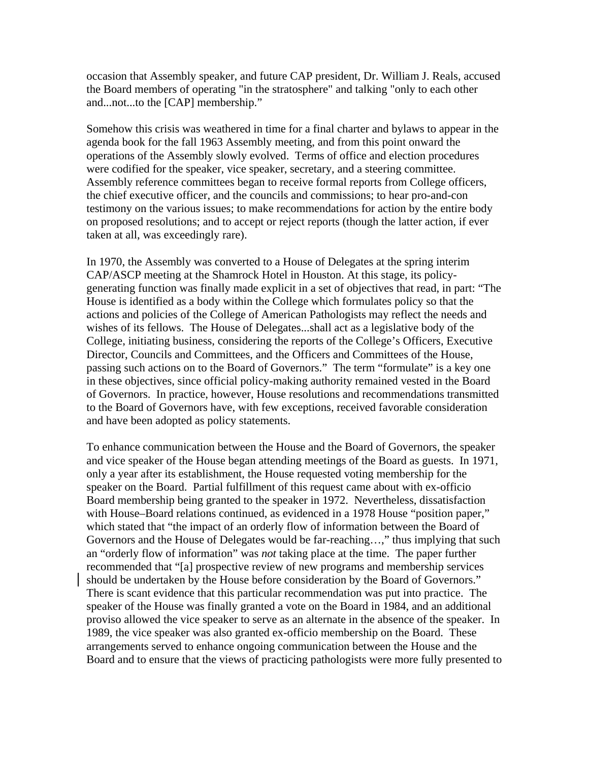occasion that Assembly speaker, and future CAP president, Dr. William J. Reals, accused the Board members of operating "in the stratosphere" and talking "only to each other and...not...to the [CAP] membership."

Somehow this crisis was weathered in time for a final charter and bylaws to appear in the agenda book for the fall 1963 Assembly meeting, and from this point onward the operations of the Assembly slowly evolved. Terms of office and election procedures were codified for the speaker, vice speaker, secretary, and a steering committee. Assembly reference committees began to receive formal reports from College officers, the chief executive officer, and the councils and commissions; to hear pro-and-con testimony on the various issues; to make recommendations for action by the entire body on proposed resolutions; and to accept or reject reports (though the latter action, if ever taken at all, was exceedingly rare).

In 1970, the Assembly was converted to a House of Delegates at the spring interim CAP/ASCP meeting at the Shamrock Hotel in Houston. At this stage, its policygenerating function was finally made explicit in a set of objectives that read, in part: "The House is identified as a body within the College which formulates policy so that the actions and policies of the College of American Pathologists may reflect the needs and wishes of its fellows. The House of Delegates...shall act as a legislative body of the College, initiating business, considering the reports of the College's Officers, Executive Director, Councils and Committees, and the Officers and Committees of the House, passing such actions on to the Board of Governors." The term "formulate" is a key one in these objectives, since official policy-making authority remained vested in the Board of Governors. In practice, however, House resolutions and recommendations transmitted to the Board of Governors have, with few exceptions, received favorable consideration and have been adopted as policy statements.

To enhance communication between the House and the Board of Governors, the speaker and vice speaker of the House began attending meetings of the Board as guests. In 1971, only a year after its establishment, the House requested voting membership for the speaker on the Board. Partial fulfillment of this request came about with ex-officio Board membership being granted to the speaker in 1972. Nevertheless, dissatisfaction with House–Board relations continued, as evidenced in a 1978 House "position paper," which stated that "the impact of an orderly flow of information between the Board of Governors and the House of Delegates would be far-reaching…," thus implying that such an "orderly flow of information" was *not* taking place at the time. The paper further recommended that "[a] prospective review of new programs and membership services should be undertaken by the House before consideration by the Board of Governors." There is scant evidence that this particular recommendation was put into practice. The speaker of the House was finally granted a vote on the Board in 1984, and an additional proviso allowed the vice speaker to serve as an alternate in the absence of the speaker. In 1989, the vice speaker was also granted ex-officio membership on the Board. These arrangements served to enhance ongoing communication between the House and the Board and to ensure that the views of practicing pathologists were more fully presented to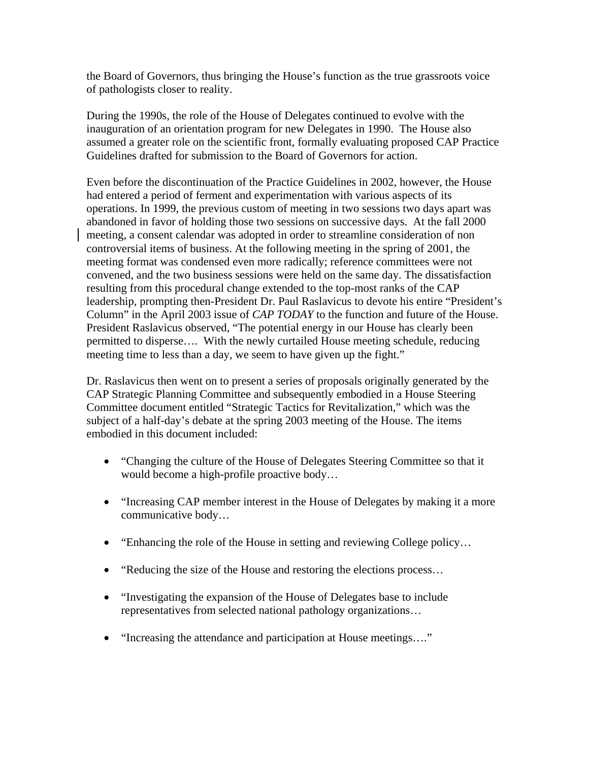the Board of Governors, thus bringing the House's function as the true grassroots voice of pathologists closer to reality.

During the 1990s, the role of the House of Delegates continued to evolve with the inauguration of an orientation program for new Delegates in 1990. The House also assumed a greater role on the scientific front, formally evaluating proposed CAP Practice Guidelines drafted for submission to the Board of Governors for action.

Even before the discontinuation of the Practice Guidelines in 2002, however, the House had entered a period of ferment and experimentation with various aspects of its operations. In 1999, the previous custom of meeting in two sessions two days apart was abandoned in favor of holding those two sessions on successive days. At the fall 2000 meeting, a consent calendar was adopted in order to streamline consideration of non controversial items of business. At the following meeting in the spring of 2001, the meeting format was condensed even more radically; reference committees were not convened, and the two business sessions were held on the same day. The dissatisfaction resulting from this procedural change extended to the top-most ranks of the CAP leadership, prompting then-President Dr. Paul Raslavicus to devote his entire "President's Column" in the April 2003 issue of *CAP TODAY* to the function and future of the House. President Raslavicus observed, "The potential energy in our House has clearly been permitted to disperse…. With the newly curtailed House meeting schedule, reducing meeting time to less than a day, we seem to have given up the fight."

Dr. Raslavicus then went on to present a series of proposals originally generated by the CAP Strategic Planning Committee and subsequently embodied in a House Steering Committee document entitled "Strategic Tactics for Revitalization," which was the subject of a half-day's debate at the spring 2003 meeting of the House. The items embodied in this document included:

- "Changing the culture of the House of Delegates Steering Committee so that it would become a high-profile proactive body…
- "Increasing CAP member interest in the House of Delegates by making it a more communicative body…
- "Enhancing the role of the House in setting and reviewing College policy...
- "Reducing the size of the House and restoring the elections process...
- "Investigating the expansion of the House of Delegates base to include representatives from selected national pathology organizations…
- "Increasing the attendance and participation at House meetings...."